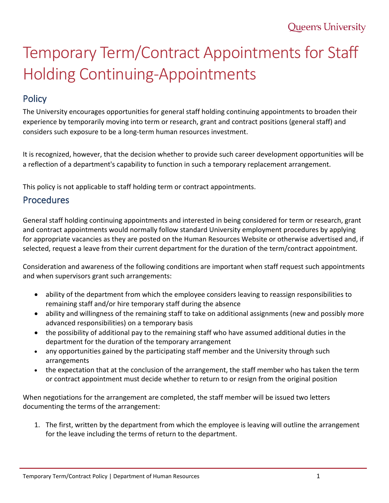## Temporary Term/Contract Appointments for Staff Holding Continuing-Appointments

## **Policy**

The University encourages opportunities for general staff holding continuing appointments to broaden their experience by temporarily moving into term or research, grant and contract positions (general staff) and considers such exposure to be a long-term human resources investment.

It is recognized, however, that the decision whether to provide such career development opportunities will be a reflection of a department's capability to function in such a temporary replacement arrangement.

This policy is not applicable to staff holding term or contract appointments.

## Procedures

General staff holding continuing appointments and interested in being considered for term or research, grant and contract appointments would normally follow standard University employment procedures by applying for appropriate vacancies as they are posted on the Human Resources Website or otherwise advertised and, if selected, request a leave from their current department for the duration of the term/contract appointment.

Consideration and awareness of the following conditions are important when staff request such appointments and when supervisors grant such arrangements:

- ability of the department from which the employee considers leaving to reassign responsibilities to remaining staff and/or hire temporary staff during the absence
- ability and willingness of the remaining staff to take on additional assignments (new and possibly more advanced responsibilities) on a temporary basis
- the possibility of additional pay to the remaining staff who have assumed additional duties in the department for the duration of the temporary arrangement
- any opportunities gained by the participating staff member and the University through such arrangements
- the expectation that at the conclusion of the arrangement, the staff member who has taken the term or contract appointment must decide whether to return to or resign from the original position

When negotiations for the arrangement are completed, the staff member will be issued two letters documenting the terms of the arrangement:

1. The first, written by the department from which the employee is leaving will outline the arrangement for the leave including the terms of return to the department.